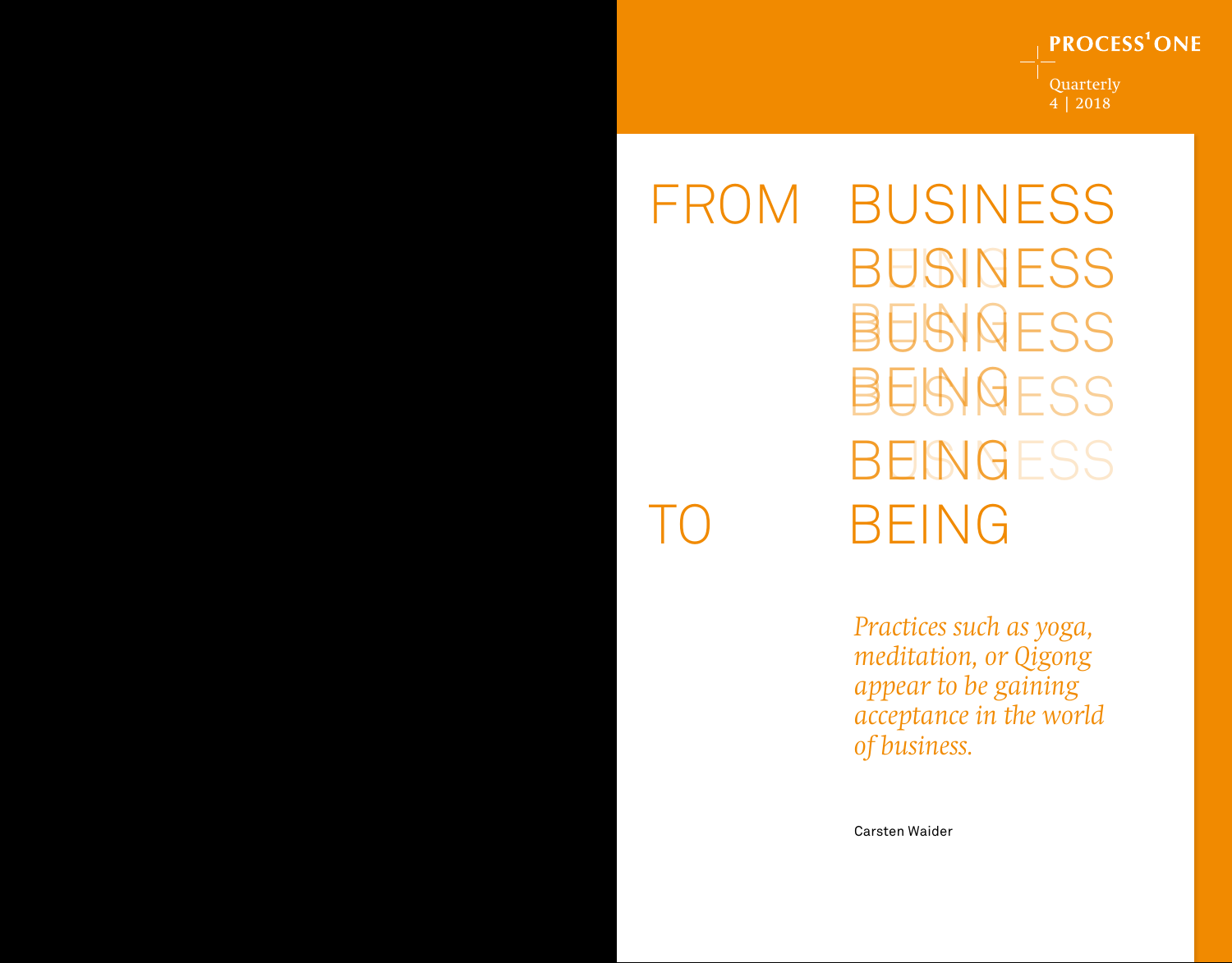**PROCESS'ONE** 

Quarterly 4 | 2018

# BUSINESS BUSINESS BUSINESS BUSINESS BEINGESS BEING BEISING BEING FROM TO

*Practices such as yoga, meditation, or Qigong appear to be gaining acceptance in the world of business.* 

Carsten Waider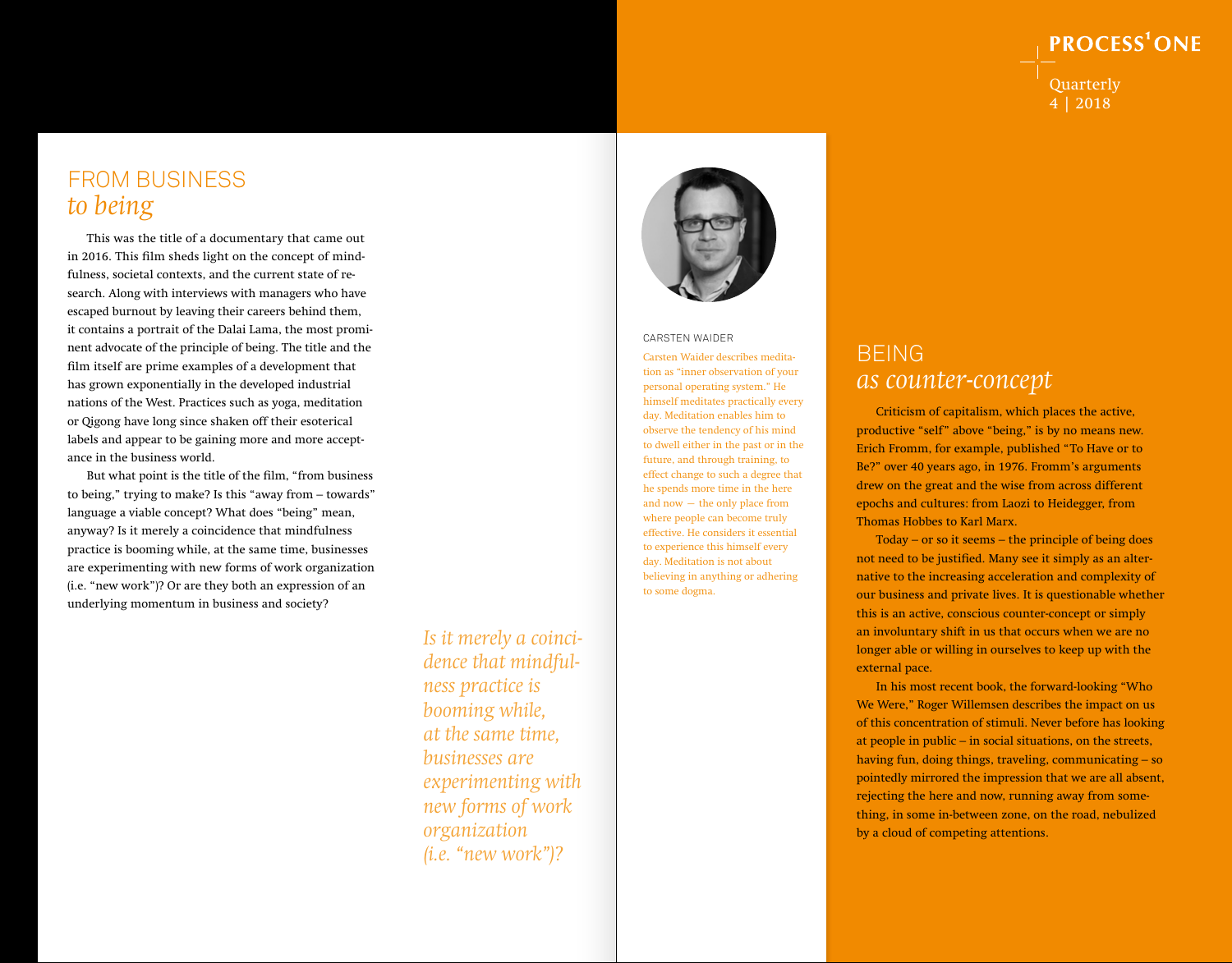### **PROCESS<sup>1</sup>ONE**

**Ouarterly** 4 | 2018

# FROM BUSINESS *to being*

This was the title of a documentary that came out in 2016. This film sheds light on the concept of mindfulness, societal contexts, and the current state of research. Along with interviews with managers who have escaped burnout by leaving their careers behind them, it contains a portrait of the Dalai Lama, the most prominent advocate of the principle of being. The title and the film itself are prime examples of a development that has grown exponentially in the developed industrial nations of the West. Practices such as yoga, meditation or Qigong have long since shaken off their esoterical labels and appear to be gaining more and more acceptance in the business world.

But what point is the title of the film, "from business to being," trying to make? Is this "away from – towards" language a viable concept? What does "being" mean, anyway? Is it merely a coincidence that mindfulness practice is booming while, at the same time, businesses are experimenting with new forms of work organization (i.e. "new work")? Or are they both an expression of an underlying momentum in business and society?

> *Is it merely a coincidence that mindfulness practice is booming while, at the same time, businesses are experimenting with new forms of work organization (i.e. "new work")?*



#### CARSTEN WAIDER

Carsten Waider describes meditation as "inner observation of your personal operating system." He himself meditates practically every day. Meditation enables him to observe the tendency of his mind to dwell either in the past or in the future, and through training, to effect change to such a degree that he spends more time in the here and now  $-$  the only place from where people can become truly effective. He considers it essential to experience this himself every day. Meditation is not about believing in anything or adhering to some dogma.

#### BEING *as counter-concept*

Criticism of capitalism, which places the active, productive "self" above "being," is by no means new. Erich Fromm, for example, published "To Have or to Be?" over 40 years ago, in 1976. Fromm's arguments drew on the great and the wise from across different epochs and cultures: from Laozi to Heidegger, from Thomas Hobbes to Karl Marx.

Today – or so it seems – the principle of being does not need to be justified. Many see it simply as an alternative to the increasing acceleration and complexity of our business and private lives. It is questionable whether this is an active, conscious counter-concept or simply an involuntary shift in us that occurs when we are no longer able or willing in ourselves to keep up with the external pace.

In his most recent book, the forward-looking "Who We Were," Roger Willemsen describes the impact on us of this concentration of stimuli. Never before has looking at people in public – in social situations, on the streets, having fun, doing things, traveling, communicating – so pointedly mirrored the impression that we are all absent, rejecting the here and now, running away from something, in some in-between zone, on the road, nebulized by a cloud of competing attentions.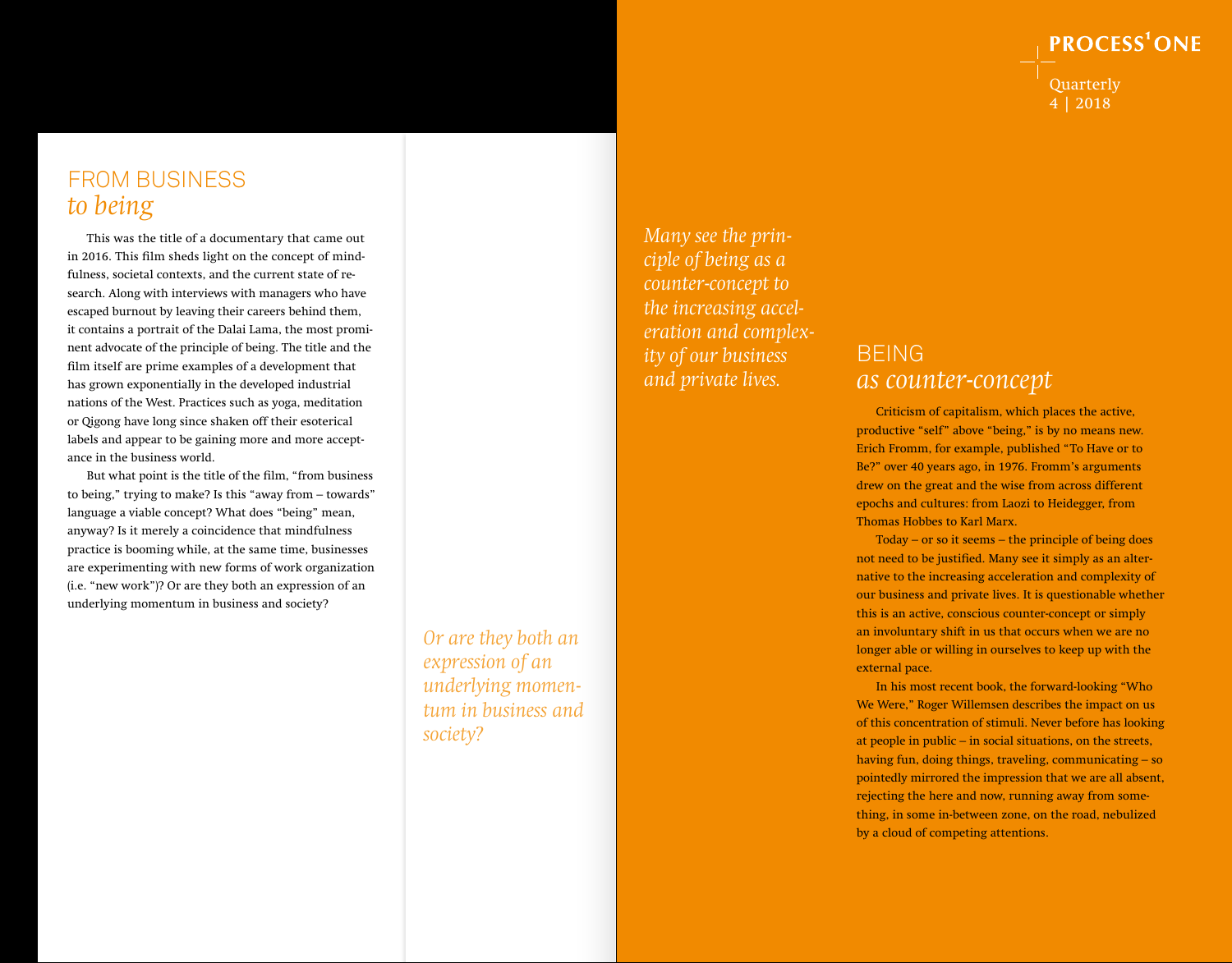## **PROCESS'ONE**

**Ouarterly** 4 | 2018

# FROM BUSINESS *to being*

This was the title of a documentary that came out in 2016. This film sheds light on the concept of mindfulness, societal contexts, and the current state of research. Along with interviews with managers who have escaped burnout by leaving their careers behind them, it contains a portrait of the Dalai Lama, the most prominent advocate of the principle of being. The title and the film itself are prime examples of a development that has grown exponentially in the developed industrial nations of the West. Practices such as yoga, meditation or Qigong have long since shaken off their esoterical labels and appear to be gaining more and more acceptance in the business world.

But what point is the title of the film, "from business to being," trying to make? Is this "away from – towards" language a viable concept? What does "being" mean, anyway? Is it merely a coincidence that mindfulness practice is booming while, at the same time, businesses are experimenting with new forms of work organization (i.e. "new work")? Or are they both an expression of an underlying momentum in business and society?

> *Or are they both an expression of an underlying momentum in business and society?*

*Many see the principle of being as a counter-concept to the increasing acceleration and complexity of our business and private lives.*

#### BEING *as counter-concept*

Criticism of capitalism, which places the active, productive "self" above "being," is by no means new. Erich Fromm, for example, published "To Have or to Be?" over 40 years ago, in 1976. Fromm's arguments drew on the great and the wise from across different epochs and cultures: from Laozi to Heidegger, from Thomas Hobbes to Karl Marx.

Today – or so it seems – the principle of being does not need to be justified. Many see it simply as an alternative to the increasing acceleration and complexity of our business and private lives. It is questionable whether this is an active, conscious counter-concept or simply an involuntary shift in us that occurs when we are no longer able or willing in ourselves to keep up with the external pace.

In his most recent book, the forward-looking "Who We Were," Roger Willemsen describes the impact on us of this concentration of stimuli. Never before has looking at people in public – in social situations, on the streets, having fun, doing things, traveling, communicating – so pointedly mirrored the impression that we are all absent, rejecting the here and now, running away from something, in some in-between zone, on the road, nebulized by a cloud of competing attentions.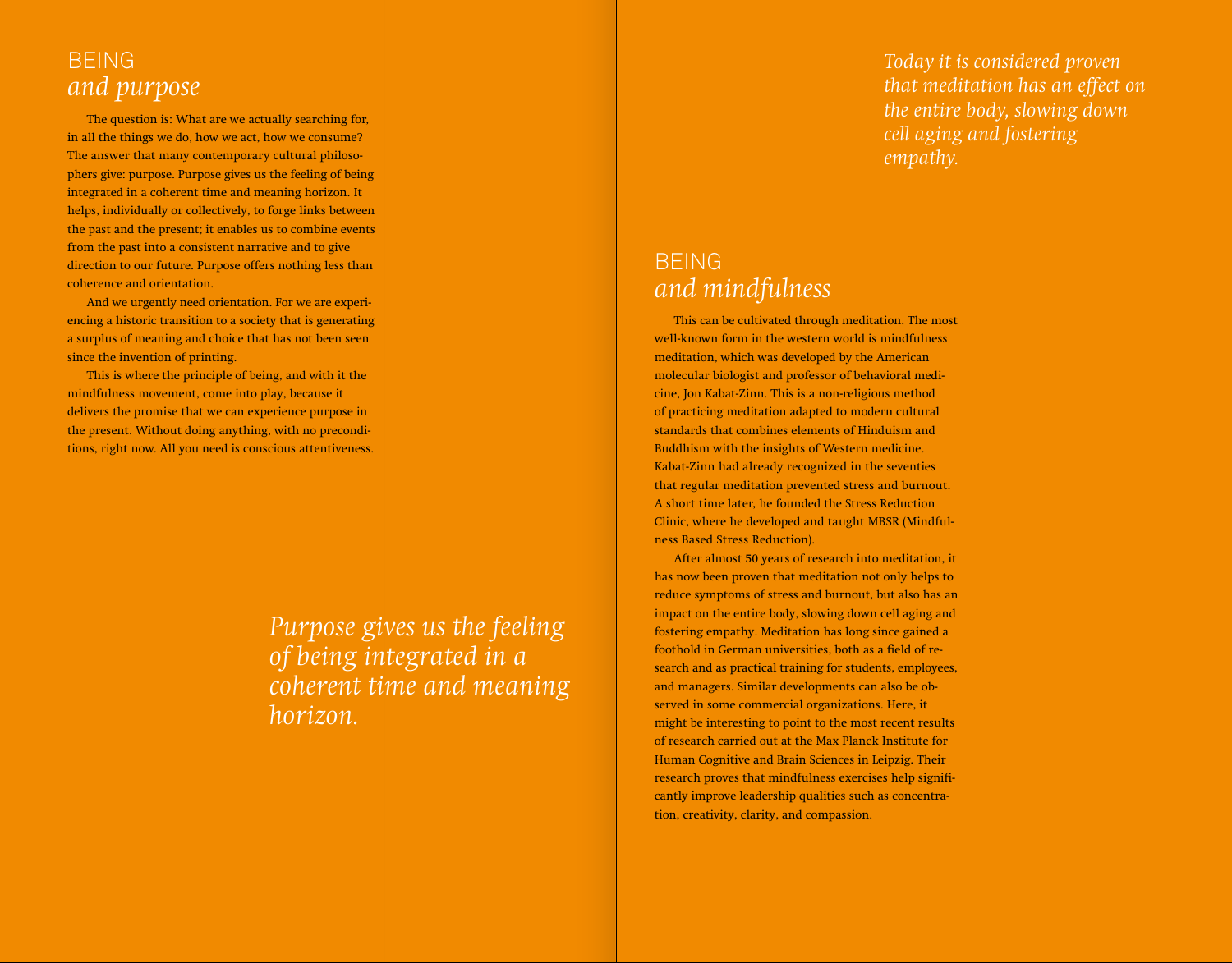## BEING *and purpose*

The question is: What are we actually searching for, in all the things we do, how we act, how we consume? The answer that many contemporary cultural philosophers give: purpose. Purpose gives us the feeling of being integrated in a coherent time and meaning horizon. It helps, individually or collectively, to forge links between the past and the present; it enables us to combine events from the past into a consistent narrative and to give direction to our future. Purpose offers nothing less than coherence and orientation.

And we urgently need orientation. For we are experiencing a historic transition to a society that is generating a surplus of meaning and choice that has not been seen since the invention of printing.

This is where the principle of being, and with it the mindfulness movement, come into play, because it delivers the promise that we can experience purpose in the present. Without doing anything, with no preconditions, right now. All you need is conscious attentiveness.

> *Purpose gives us the feeling of being integrated in a coherent time and meaning horizon.*

*Today it is considered proven that meditation has an effect on the entire body, slowing down cell aging and fostering empathy.*

# BEING *and mindfulness*

This can be cultivated through meditation. The most well-known form in the western world is mindfulness meditation, which was developed by the American molecular biologist and professor of behavioral medicine, Jon Kabat-Zinn. This is a non-religious method of practicing meditation adapted to modern cultural standards that combines elements of Hinduism and Buddhism with the insights of Western medicine. Kabat-Zinn had already recognized in the seventies that regular meditation prevented stress and burnout. A short time later, he founded the Stress Reduction Clinic, where he developed and taught MBSR (Mindfulness Based Stress Reduction).

After almost 50 years of research into meditation, it has now been proven that meditation not only helps to reduce symptoms of stress and burnout, but also has an impact on the entire body, slowing down cell aging and fostering empathy. Meditation has long since gained a foothold in German universities, both as a field of research and as practical training for students, employees, and managers. Similar developments can also be observed in some commercial organizations. Here, it might be interesting to point to the most recent results of research carried out at the Max Planck Institute for Human Cognitive and Brain Sciences in Leipzig. Their research proves that mindfulness exercises help significantly improve leadership qualities such as concentration, creativity, clarity, and compassion.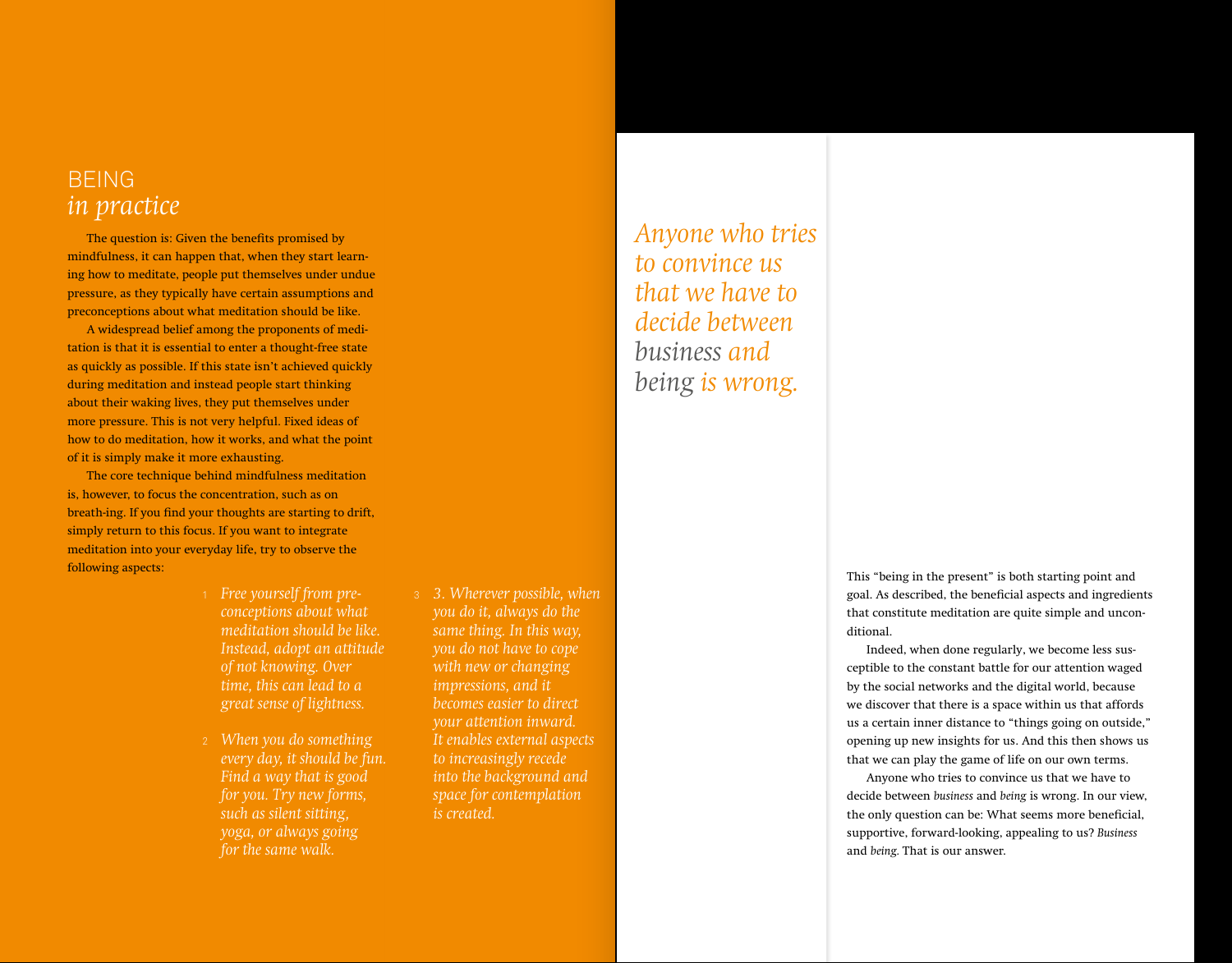#### BEING *in practice*

The question is: Given the benefits promised by mindfulness, it can happen that, when they start learning how to meditate, people put themselves under undue pressure, as they typically have certain assumptions and preconceptions about what meditation should be like.

A widespread belief among the proponents of meditation is that it is essential to enter a thought-free state as quickly as possible. If this state isn't achieved quickly during meditation and instead people start thinking about their waking lives, they put themselves under more pressure. This is not very helpful. Fixed ideas of how to do meditation, how it works, and what the point of it is simply make it more exhausting.

The core technique behind mindfulness meditation is, however, to focus the concentration, such as on breath-ing. If you find your thoughts are starting to drift, simply return to this focus. If you want to integrate meditation into your everyday life, try to observe the following aspects:

- *Free yourself from pre-*1 *conceptions about what meditation should be like. Instead, adopt an attitude of not knowing. Over time, this can lead to a great sense of lightness.*
- *When you do something*  2 *every day, it should be fun. Find a way that is good for you. Try new forms, such as silent sitting, yoga, or always going for the same walk.*
- <sup>3</sup> *3. Wherever possible, when you do it, always do the same thing. In this way, you do not have to cope with new or changing impressions, and it becomes easier to direct your attention inward. It enables external aspects to increasingly recede into the background and space for contemplation is created.*

*Anyone who tries to convince us that we have to decide between business and being is wrong.*

> This "being in the present" is both starting point and goal. As described, the beneficial aspects and ingredients that constitute meditation are quite simple and unconditional.

Indeed, when done regularly, we become less susceptible to the constant battle for our attention waged by the social networks and the digital world, because we discover that there is a space within us that affords us a certain inner distance to "things going on outside," opening up new insights for us. And this then shows us that we can play the game of life on our own terms.

Anyone who tries to convince us that we have to decide between *business* and *being* is wrong. In our view, the only question can be: What seems more beneficial, supportive, forward-looking, appealing to us? *Business* and *being.* That is our answer.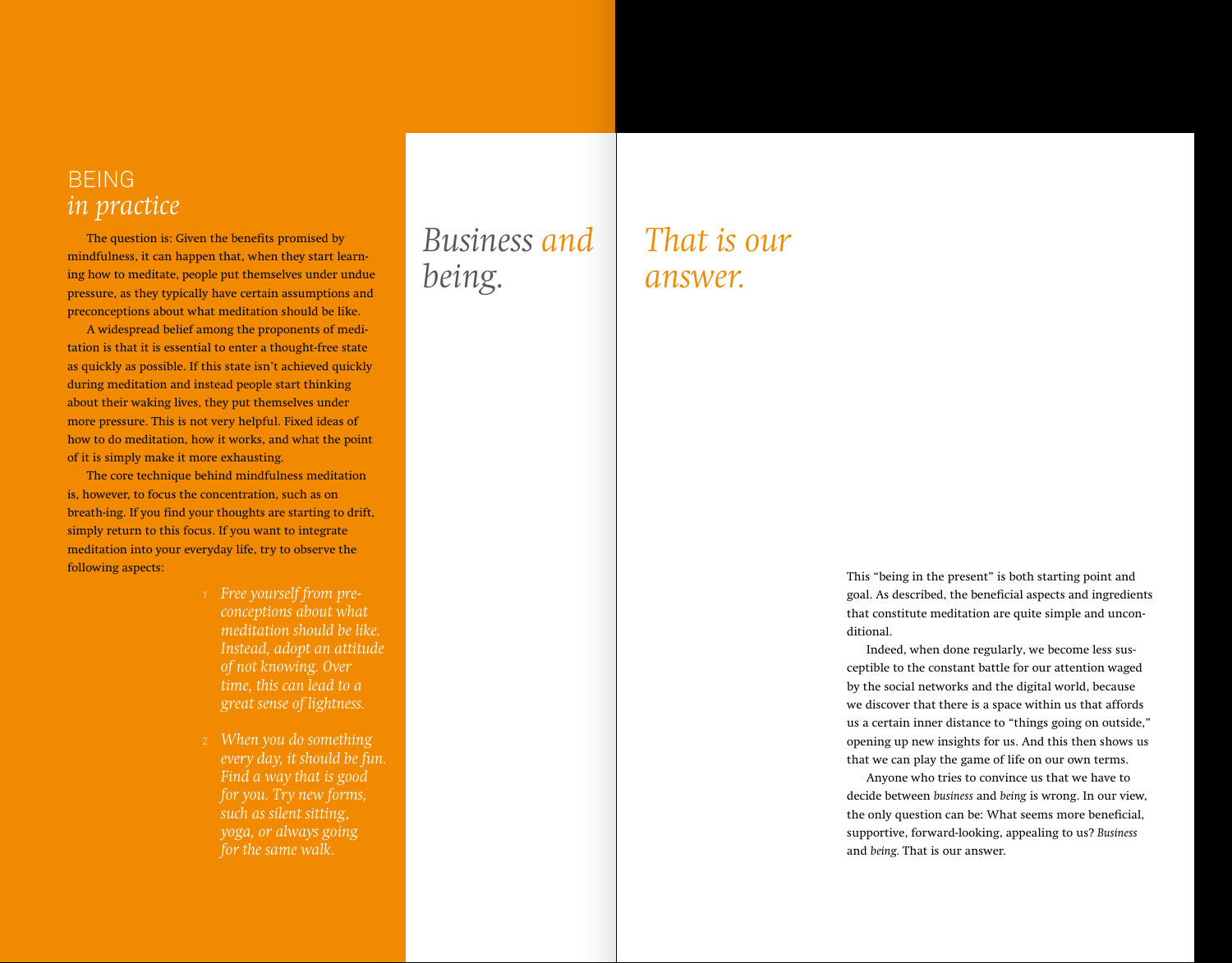#### BEING *in practice*

The question is: Given the benefits promised by mindfulness, it can happen that, when they start learning how to meditate, people put themselves under undue pressure, as they typically have certain assumptions and preconceptions about what meditation should be like.

A widespread belief among the proponents of meditation is that it is essential to enter a thought-free state as quickly as possible. If this state isn't achieved quickly during meditation and instead people start thinking about their waking lives, they put themselves under more pressure. This is not very helpful. Fixed ideas of how to do meditation, how it works, and what the point of it is simply make it more exhausting.

The core technique behind mindfulness meditation is, however, to focus the concentration, such as on breath-ing. If you find your thoughts are starting to drift, simply return to this focus. If you want to integrate meditation into your everyday life, try to observe the Following aspects: This "being in the present" is both starting point and

- 1 *Free yourself from preconceptions about what meditation should be like. Instead, adopt an attitude of not knowing. Over time, this can lead to a great sense of lightness.*
- 2 *When you do something every day, it should be fun. Find a way that is good for you. Try new forms, such as silent sitting, yoga, or always going for the same walk.*

# *Business and being.*

*That is our answer.*

> goal. As described, the beneficial aspects and ingredients that constitute meditation are quite simple and unconditional.

Indeed, when done regularly, we become less susceptible to the constant battle for our attention waged by the social networks and the digital world, because we discover that there is a space within us that affords us a certain inner distance to "things going on outside," opening up new insights for us. And this then shows us that we can play the game of life on our own terms.

Anyone who tries to convince us that we have to decide between *business* and *being* is wrong. In our view, the only question can be: What seems more beneficial, supportive, forward-looking, appealing to us? *Business* and *being.* That is our answer.